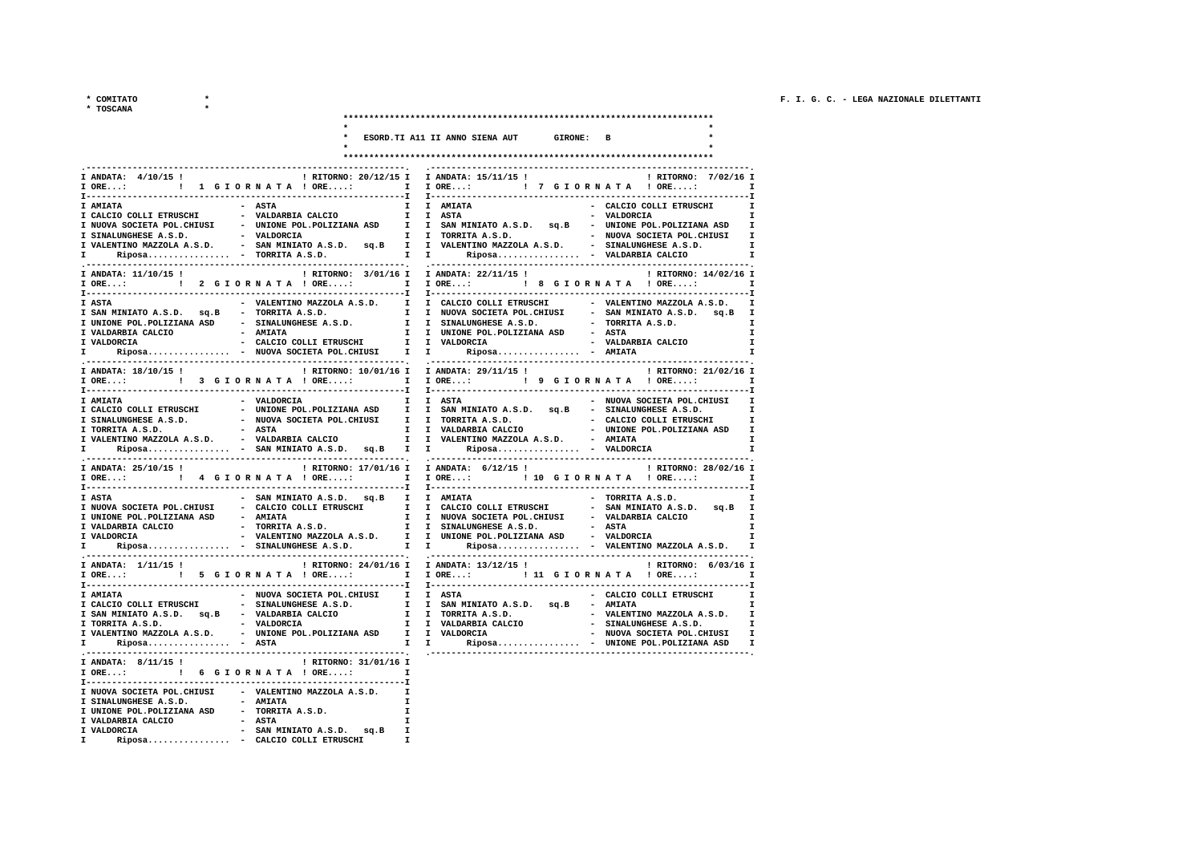| COMITATO<br>* TOSCANA                                                                                                                                                                                            |                                                                                                                                                                                                                                                                                                                                                                                                                                                                                                                                                                                                                                                                                                                                                                |
|------------------------------------------------------------------------------------------------------------------------------------------------------------------------------------------------------------------|----------------------------------------------------------------------------------------------------------------------------------------------------------------------------------------------------------------------------------------------------------------------------------------------------------------------------------------------------------------------------------------------------------------------------------------------------------------------------------------------------------------------------------------------------------------------------------------------------------------------------------------------------------------------------------------------------------------------------------------------------------------|
|                                                                                                                                                                                                                  | ESORD. TI A11 II ANNO SIENA AUT GIRONE: B                                                                                                                                                                                                                                                                                                                                                                                                                                                                                                                                                                                                                                                                                                                      |
|                                                                                                                                                                                                                  |                                                                                                                                                                                                                                                                                                                                                                                                                                                                                                                                                                                                                                                                                                                                                                |
| I ANDATA: $4/10/15$ ! NITORNO: 20/12/15 I<br>I AMIATA<br>- ASTA<br>$Riposa$ - TORRITA A.S.D.<br>$I$ -----------<br>I ASTA<br>I SAN MINIATO A.S.D. sq.B<br>- TORRITA A.S.D.                                       | -----------------,<br>I ANDATA: 15/11/15 !<br>! RITORNO: 7/02/16 I<br>IORE: !!! GIORNATA!ORE: I IORE: !!!? GIORNATA!ORE: I<br>I I AMIATA<br>- CALCIO COLLI ETRUSCHI<br>$\mathbf{r}$<br>I<br>I<br>I SINALUNGHESE A.S.D.               VALDORCIA           I   I  TORRITA A.S.D.                 NUOVA SOCIETA POL.CHIUSI<br>I<br>I VALENTINO MAZZOLA A.S.D.      - SAN MINIATO A.S.D.                I     I VALENTINO MAZZOLA A.S.D.               SINALUNGHESE A.S.D.<br>$\mathbf{I}$<br>I I Riposa - VALDARBIA CALCIO<br>$\mathbf{I}$<br>I ANDATA: 22/11/15 !<br>! RITORNO: 14/02/16 I<br>- VALENTINO MAZZOLA A.S.D. I I CALCIO COLLI ETRUSCHI<br>$\mathbf{I}$<br>- VALENTINO MAZZOLA A.S.D.<br>I I NUOVA SOCIETA POL. CHIUSI<br>- SAN MINIATO A.S.D. sq.B I |
| I UNIONE POL. POLIZIANA ASD - SINALUNGHESE A.S.D.<br>I VALDORCIA - CALCIO COLLI ETRUSCHI<br>Riposa - NUOVA SOCIETA POL.CHIUSI II<br>T.                                                                           | I I SINALUNGHESE A.S.D.<br>- TORRITA A.S.D.<br>I<br>I I UNIONE POL.POLIZIANA ASD - ASTA<br>$\mathbf{I}$<br>I I VALDORCIA<br>- VALDARBIA CALCIO<br>$\mathbf{I}$<br>$\texttt{Riposa} \dots \dots \dots \dots \dots \dots$ - AMIATA<br>                                                                                                                                                                                                                                                                                                                                                                                                                                                                                                                           |
| I ANDATA: 18/10/15 !                                                                                                                                                                                             | ! RITORNO: 10/01/16 I I ANDATA: 29/11/15 ! [ ] [ ] ] RITORNO: 21/02/16 I<br>IORE:               !    3 GIORNATA !ORE:           I IORE:                !    9 GIORNATA !ORE:         I                                                                                                                                                                                                                                                                                                                                                                                                                                                                                                                                                                         |
| - VALDORCIA<br>I AMIATA<br>I CALCIO COLLI ETRUSCHI<br>I SINALUNGHESE A.S.D.<br>I TORRITA A.S.D.<br>I VALENTINO MAZZOLA A.S.D. - VALDARBIA CALCIO<br>$Riposa$ - SAN MINIATO A.S.D. $sq.B$<br>I.                   | I I ASTA<br>- NUOVA SOCIETA POL.CHIUSI<br>I<br>- UNIONE POL.POLIZIANA ASD I I SAN MINIATO A.S.D. sq.B - SINALUNGHESE A.S.D.<br>I<br>$\mathbf{I}$<br>$\mathbf{I}$<br>I I VALENTINO MAZZOLA A.S.D. - AMIATA<br>I<br>I Riposa - VALDORCIA<br>$\mathbf{I}$<br>I                                                                                                                                                                                                                                                                                                                                                                                                                                                                                                    |
| I ANDATA: 25/10/15 !                                                                                                                                                                                             | I ANDATA: 6/12/15 !<br>! RITORNO: 17/01/16 I<br>! RITORNO: 28/02/16 I<br>I ORE: : 10 G I O R N A T A ! ORE: I                                                                                                                                                                                                                                                                                                                                                                                                                                                                                                                                                                                                                                                  |
| - SAN MINIATO A.S.D. sq.B I I AMIATA<br>I ASTA<br>I NUOVA SOCIETA POL.CHIUSI - CALCIO COLLI ETRUSCHI<br>I UNIONE POL. POLIZIANA ASD - AMIATA                                                                     | ---I<br>- TORRITA A.S.D.<br>I<br>I I CALCIO COLLI ETRUSCHI - SAN MINIATO A.S.D. sq.B I<br>I I NUOVA SOCIETA POL.CHIUSI - VALDARBIA CALCIO<br>I<br>T VALDARBIA CALCIO – TORRITA A.S.D. I I SINALUNGHESE A.S.D. – ASTA<br>I VALDORCIA – VALENTINO MAZZOLA A.S.D. I I UNIONE POL.POLIZIANA ASD – VALDORCIA<br>I Riposa – SINALUNGHESE A.S.D. I I Riposa –<br>I I SINALUNGHESE A.S.D. - ASTA<br>$\mathbf{I}$<br>$\mathbf{I}$<br>Riposa - VALENTINO MAZZOLA A.S.D.<br>I                                                                                                                                                                                                                                                                                             |
| I ANDATA: 1/11/15 !                                                                                                                                                                                              | I ANDATA: 13/12/15 !<br>! RITORNO: 24/01/16 I<br>! RITORNO: 6/03/16 I<br>$\mathbf{I}$                                                                                                                                                                                                                                                                                                                                                                                                                                                                                                                                                                                                                                                                          |
| I AMIATA<br>- NUOVA SOCIETA POL. CHIUSI II I ASTA<br>I CALCIO COLLI ETRUSCHI<br>I SAN MINIATO A.S.D. sq.B - VALDARBIA CALCIO<br>I TORRITA A.S.D. - VALDORCIA<br>$\mathbf{I}$ and $\mathbf{I}$<br>$Riposa$ - ASTA | - CALCIO COLLI ETRUSCHI<br>I<br>- SINALUNGHESE A.S.D. I I SAN MINIATO A.S.D. sq.B - AMIATA<br>I<br>I I TORRITA A.S.D. - VALENTINO MAZZOLA A.S.D.<br>I<br>T UNIVERSITY AND SUIT A PRODUCTING THE RESERVATION OF THE CALCIDETY AND MELTICAL TRININGHESS A.S.D.<br>I VALDARBIA CALCID - SINALUNGHESS A.S.D.<br>I VALENTINO MAZZOLA A.S.D. - UNIONE POL.POLIZIANA ASD I I VALDORCIA - NUOVA SOC<br>I<br>$\mathbf{I}$<br>I I Riposa - UNIONE POL.POLIZIANA ASD<br>$\mathbf{r}$                                                                                                                                                                                                                                                                                      |
| I ANDATA: 8/11/15 !<br>! RITORNO: 31/01/16 I<br>- VALENTINO MAZZOLA A.S.D.<br>NUOVA SOCIETA POL. CHIUSI                                                                                                          |                                                                                                                                                                                                                                                                                                                                                                                                                                                                                                                                                                                                                                                                                                                                                                |

NOVA SOCIETA POL.CHUSI - VALENTINO MAZZOLA A.S.D. I<br>
I SINALUNGHESE A.S.D. - AMIATA<br>
I UNIONE POL.POLIZIANA ASD - TORRITA A.S.D. I<br>
I VALDARBIA CALCIO - ASTA<br>
I VALDORCIA - SAN MINIATO A.S.D. Sq.B I<br>
I RIPOSA..............